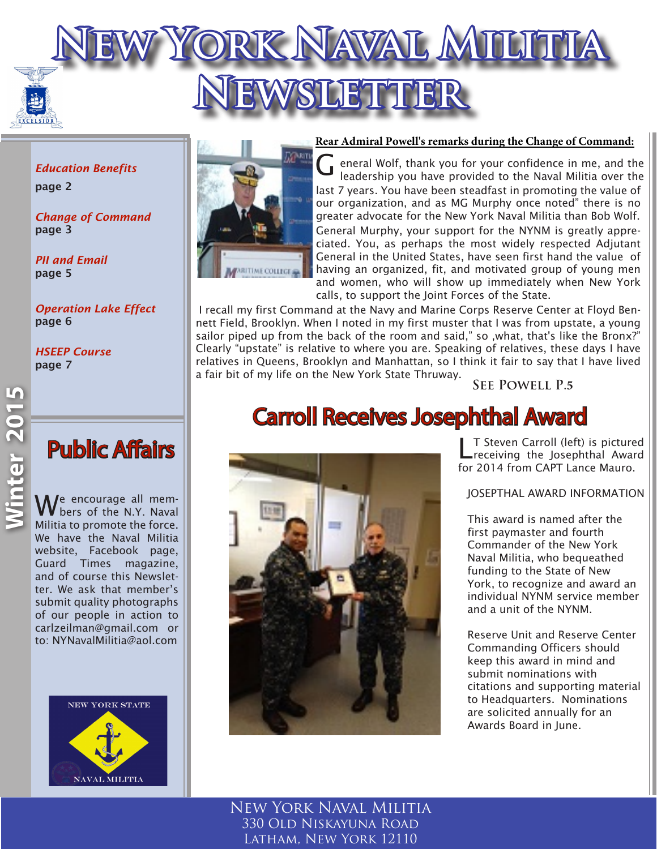

*Education Benefits* page 2

*Change of Command* page 3

*PII and Email*  page 5

*Operation Lake Effect* page 6

*HSEEP Course* page 7

We encourage all mem-<br>Whers of the N.Y. Naval Militia to promote the force. We have the Naval Militia website, Facebook page, Guard Times magazine, and of course this Newsletter. We ask that member's submit quality photographs of our people in action to carlzeilman@gmail.com or to: NYNavalMilitia@aol.com





#### **Rear Admiral Powell's remarks during the Change of Command:**

eneral Wolf, thank you for your confidence in me, and the loadscribe you have provided to the Naval Militia over the leadership you have provided to the Naval Militia over the last 7 years. You have been steadfast in promoting the value of our organization, and as MG Murphy once noted" there is no greater advocate for the New York Naval Militia than Bob Wolf. General Murphy, your support for the NYNM is greatly appreciated. You, as perhaps the most widely respected Adjutant General in the United States, have seen first hand the value of having an organized, fit, and motivated group of young men and women, who will show up immediately when New York calls, to support the Joint Forces of the State.

 I recall my first Command at the Navy and Marine Corps Reserve Center at Floyd Bennett Field, Brooklyn. When I noted in my first muster that I was from upstate, a young sailor piped up from the back of the room and said," so , what, that's like the Bronx?" Clearly "upstate" is relative to where you are. Speaking of relatives, these days I have relatives in Queens, Brooklyn and Manhattan, so I think it fair to say that I have lived a fair bit of my life on the New York State Thruway.

**See Powell P.5**

# Carroll Receives Josephthal Award



receiving the Josephthal Award for 2014 from CAPT Lance Mauro.

JOSEPTHAL AWARD INFORMATION

This award is named after the first paymaster and fourth Commander of the New York Naval Militia, who bequeathed funding to the State of New York, to recognize and award an individual NYNM service member and a unit of the NYNM.

Reserve Unit and Reserve Center Commanding Officers should keep this award in mind and submit nominations with citations and supporting material to Headquarters. Nominations are solicited annually for an Awards Board in June.

New York Naval Militia 330 Old Niskayuna Road Latham, New York 12110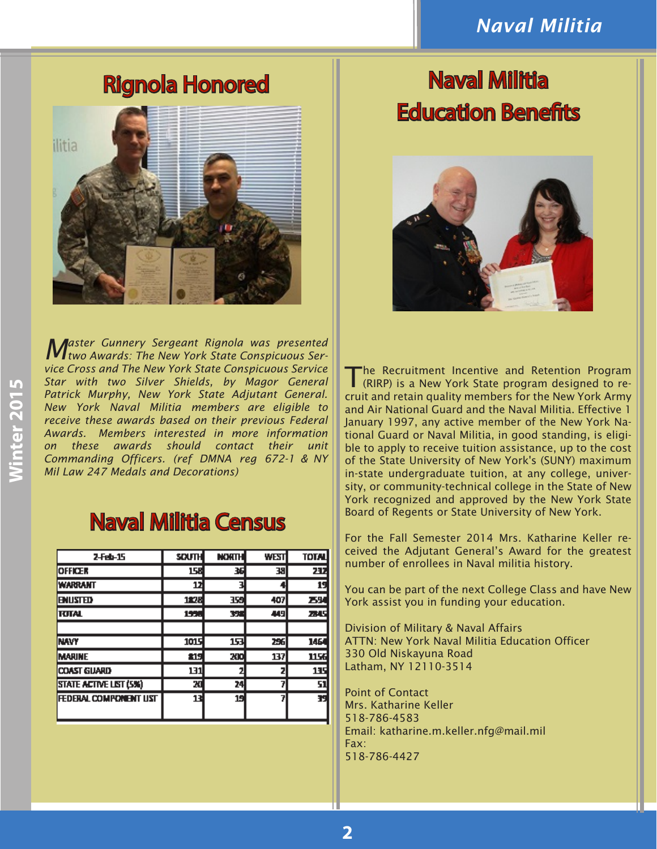#### *Naval Militia*



*Master Gunnery Sergeant Rignola was presented two Awards: The New York State Conspicuous Service Cross and The New York State Conspicuous Service Star with two Silver Shields, by Magor General Patrick Murphy, New York State Adjutant General. New York Naval Militia members are eligible to receive these awards based on their previous Federal Awards. Members interested in more information on these awards should contact their unit Commanding Officers. (ref DMNA reg 672-1 & NY Mil Law 247 Medals and Decorations)*

## Naval Militia Census

| 2-Feb-15               | <b>SOUTH</b> | <b>NORTH</b> | WEST | <b>TOTAL</b> |
|------------------------|--------------|--------------|------|--------------|
| <b>OFFICER</b>         | 158          | 36           | 38   | 237          |
| <b><i>WARRANT</i></b>  | 12           |              |      | 19           |
| <b>ENUSTED</b>         | 1828         | 359          | 407  | 25           |
| <b>ITUTAL</b>          | 1555         | 328          | 449  | 23 U         |
|                        |              |              |      |              |
| <b>INAVY</b>           | 1015         | 153          | 256  | 1464         |
| <b>IMARINE</b>         | 219          | 200          | 137  | 1156         |
| <b>COAST GUARD</b>     | 131          |              |      | 135          |
| STATE ACTIVE LIST (5%) | 20           | 24           |      | 51           |
| FEDERAL COMPONENT UST  | 13           | 19           |      | 39           |

# Rignola Honored Naval Militia Education Benefits



The Recruitment Incentive and Retention Program (RIRP) is a New York State program designed to recruit and retain quality members for the New York Army and Air National Guard and the Naval Militia. Effective 1 January 1997, any active member of the New York National Guard or Naval Militia, in good standing, is eligible to apply to receive tuition assistance, up to the cost of the State University of New York's (SUNY) maximum in-state undergraduate tuition, at any college, university, or community-technical college in the State of New York recognized and approved by the New York State Board of Regents or State University of New York.

For the Fall Semester 2014 Mrs. Katharine Keller received the Adjutant General's Award for the greatest number of enrollees in Naval militia history.

You can be part of the next College Class and have New York assist you in funding your education.

Division of Military & Naval Affairs ATTN: New York Naval Militia Education Officer 330 Old Niskayuna Road Latham, NY 12110-3514

Point of Contact Mrs. Katharine Keller 518-786-4583 Email: katharine.m.keller.nfg@mail.mil Fax: 518-786-4427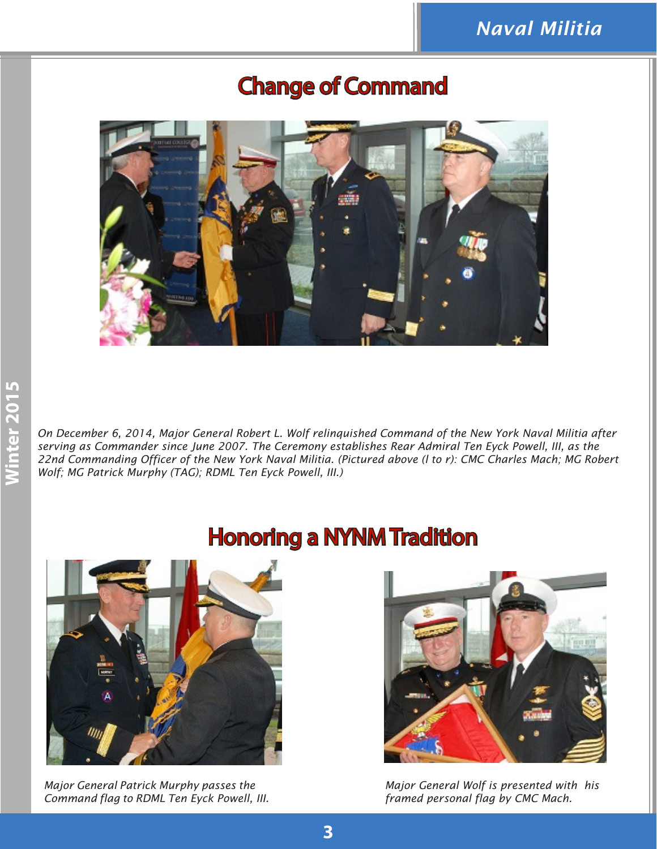

#### Change of Command

**Condition 2016**<br> *On December 6, 2014, Major General Robert L. Wolf relinquished Command of the New York Naval Militia after<br>
serving as Commander since June 2007. The Ceremony establishes Rear Admiral Ten Eyck Powell, II serving as Commander since June 2007. The Ceremony establishes Rear Admiral Ten Eyck Powell, III, as the 22nd Commanding Officer of the New York Naval Militia. (Pictured above (l to r): CMC Charles Mach; MG Robert Wolf; MG Patrick Murphy (TAG); RDML Ten Eyck Powell, III.)*



*Major General Patrick Murphy passes the Command flag to RDML Ten Eyck Powell, III.* 

# Honoring a NYNM Tradition



*Major General Wolf is presented with his framed personal flag by CMC Mach.*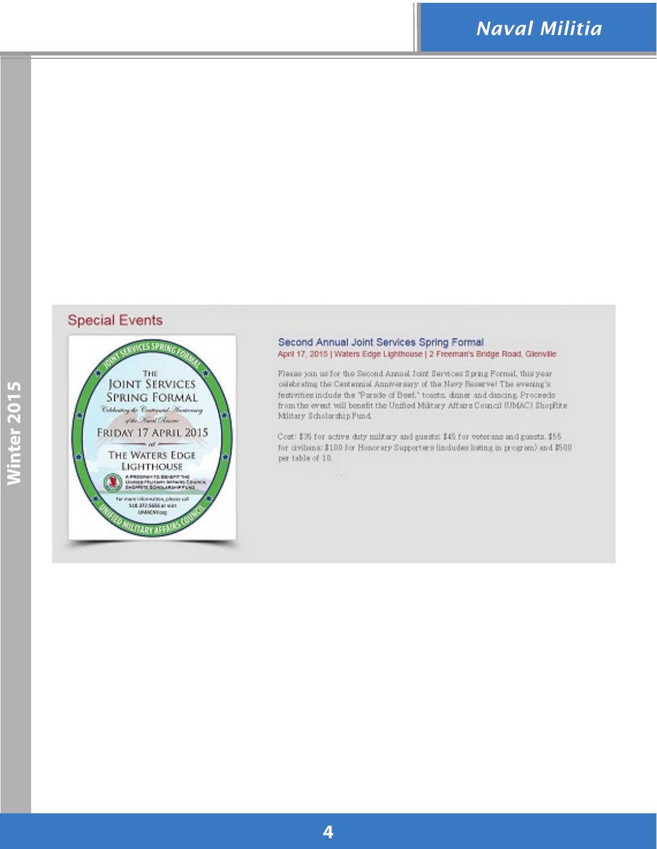#### **Special Events**



#### Second Annual Joint Services Spring Formal April 17, 2015 | Waters Edge Lighthouse | 2 Freeman's Bridge Road, Glenville

Flease join us for the Second Annual Joint Services Spring Formal, this year celebrating the Centennial Anniversary of the Navy Ressevel The evening's festivities include the "Parade of Beef," toasts, dance and dancing Proceeds from the event will benefit the Unified Military Affairs Council (UMAC) ShopRite Military Scholarship Fund.

Cost: \$95 for active duty military and guests: \$45 for veterans and guests, \$55 for civilians: \$100 for Honorary Supporters lindudes listing in program) and \$500 per table of 10.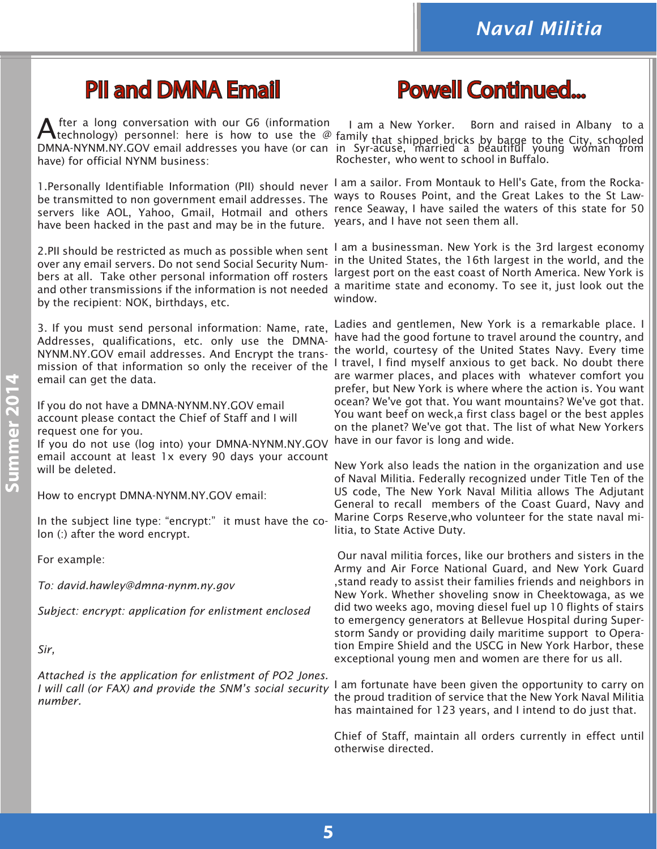## PII and DMNA Email

After a long conversation with our G6 (information<br>direchnology) personnel: here is how to use the @ DMNA-NYNM.NY.GOV email addresses you have (or can have) for official NYNM business:

be transmitted to non government email addresses. The have been hacked in the past and may be in the future.

2.PII should be restricted as much as possible when sent over any email servers. Do not send Social Security Numbers at all. Take other personal information off rosters by the recipient: NOK, birthdays, etc.

3. If you must send personal information: Name, rate, Addresses, qualifications, etc. only use the DMNA-NYNM.NY.GOV email addresses. And Encrypt the transemail can get the data.

If you do not have a DMNA-NYNM.NY.GOV email account please contact the Chief of Staff and I will request one for you.

If you do not use (log into) your DMNA-NYNM.NY.GOV email account at least 1x every 90 days your account will be deleted.

How to encrypt DMNA-NYNM.NY.GOV email:

In the subject line type: "encrypt:" it must have the colon (:) after the word encrypt.

For example:

*To: david.hawley@dmna-nynm.ny.gov*

*Subject: encrypt: application for enlistment enclosed*

*Sir,*

*Attached is the application for enlistment of PO2 Jones. I will call (or FAX) and provide the SNM's social security number.*

# Powell Continued...

I am a New Yorker. Born and raised in Albany to a family that shipped bricks by barge to the City, schooled<br>in Syr-acuse, married a beautiful young woman from Rochester, who went to school in Buffalo.

1. Personally Identifiable Information (PII) should never I am a sailor. From Montauk to Hell's Gate, from the Rockaservers like AOL, Yahoo, Gmail, Hotmail and others rence Seaway, I have sailed the waters of this state for 50 ways to Rouses Point, and the Great Lakes to the St Lawyears, and I have not seen them all.

and other transmissions if the information is not needed a maritime state and economy. To see it, just look out the I am a businessman. New York is the 3rd largest economy in the United States, the 16th largest in the world, and the largest port on the east coast of North America. New York is window.

mission of that information so only the receiver of the I travel, I find myself anxious to get back. No doubt there Ladies and gentlemen, New York is a remarkable place. I have had the good fortune to travel around the country, and the world, courtesy of the United States Navy. Every time are warmer places, and places with whatever comfort you prefer, but New York is where where the action is. You want ocean? We've got that. You want mountains? We've got that. You want beef on weck,a first class bagel or the best apples on the planet? We've got that. The list of what New Yorkers have in our favor is long and wide.

> New York also leads the nation in the organization and use of Naval Militia. Federally recognized under Title Ten of the US code, The New York Naval Militia allows The Adjutant General to recall members of the Coast Guard, Navy and Marine Corps Reserve,who volunteer for the state naval militia, to State Active Duty.

> Our naval militia forces, like our brothers and sisters in the Army and Air Force National Guard, and New York Guard ,stand ready to assist their families friends and neighbors in New York. Whether shoveling snow in Cheektowaga, as we did two weeks ago, moving diesel fuel up 10 flights of stairs to emergency generators at Bellevue Hospital during Superstorm Sandy or providing daily maritime support to Operation Empire Shield and the USCG in New York Harbor, these exceptional young men and women are there for us all.

> I am fortunate have been given the opportunity to carry on the proud tradition of service that the New York Naval Militia has maintained for 123 years, and I intend to do just that.

> Chief of Staff, maintain all orders currently in effect until otherwise directed.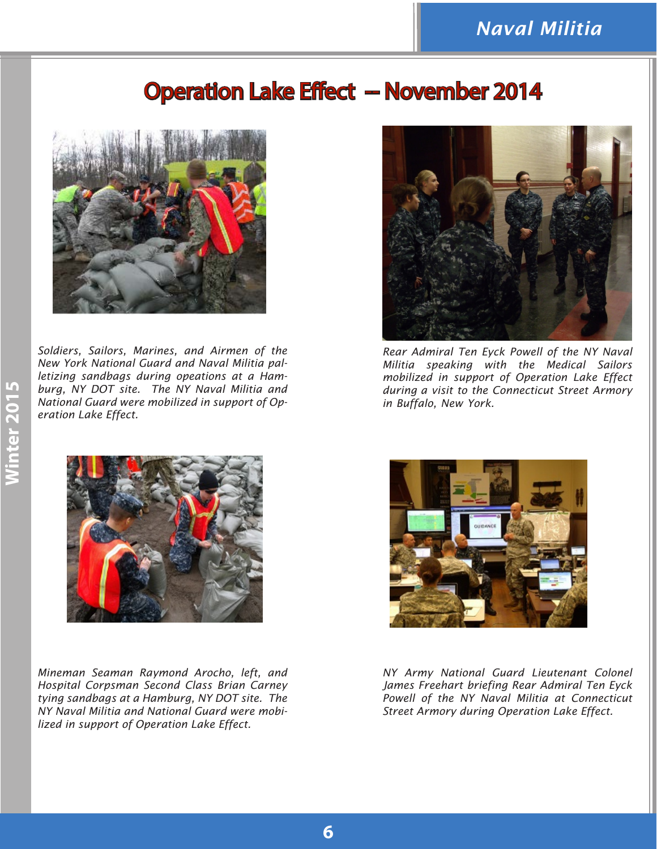#### **Operation Lake Effect -- November 2014**



*Soldiers, Sailors, Marines, and Airmen of the New York National Guard and Naval Militia palletizing sandbags during opeations at a Hamburg, NY DOT site. The NY Naval Militia and National Guard were mobilized in support of Operation Lake Effect.*



*Mineman Seaman Raymond Arocho, left, and Hospital Corpsman Second Class Brian Carney tying sandbags at a Hamburg, NY DOT site. The NY Naval Militia and National Guard were mobilized in support of Operation Lake Effect.*



*Rear Admiral Ten Eyck Powell of the NY Naval Militia speaking with the Medical Sailors mobilized in support of Operation Lake Effect during a visit to the Connecticut Street Armory in Buffalo, New York.*



*NY Army National Guard Lieutenant Colonel James Freehart briefing Rear Admiral Ten Eyck Powell of the NY Naval Militia at Connecticut Street Armory during Operation Lake Effect.*